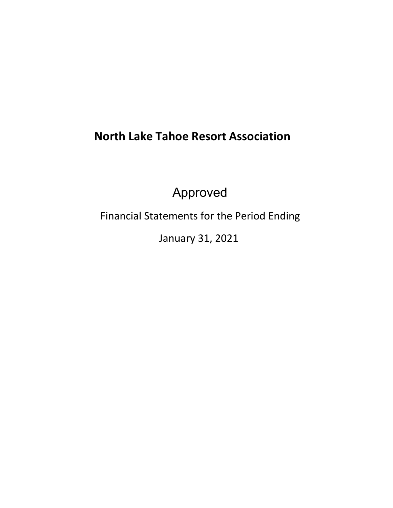# **North Lake Tahoe Resort Association**

Approved

Financial Statements for the Period Ending

January 31, 2021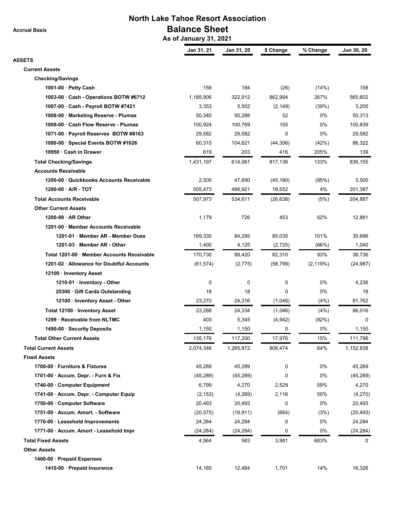**Accrual Basis**

## **North Lake Tahoe Resort Association Balance Sheet**

 **As of January 31, 2021**

|                                            | Jan 31, 21 | Jan 31, 20 | \$ Change | % Change  | Jun 30, 20 |
|--------------------------------------------|------------|------------|-----------|-----------|------------|
| <b>ASSETS</b>                              |            |            |           |           |            |
| <b>Current Assets</b>                      |            |            |           |           |            |
| <b>Checking/Savings</b>                    |            |            |           |           |            |
| 1001-00 · Petty Cash                       | 158        | 184        | (26)      | (14%)     | 158        |
| 1003-00 · Cash - Operations BOTW #6712     | 1,185,906  | 322,912    | 862,994   | 267%      | 565,602    |
| 1007-00 Cash - Payroll BOTW #7421          | 3,353      | 5,502      | (2, 149)  | (39%)     | 3,200      |
| 1008-00 · Marketing Reserve - Plumas       | 50,340     | 50,288     | 52        | 0%        | 50,313     |
| 1009-00 · Cash Flow Reserve - Plumas       | 100,924    | 100,769    | 155       | 0%        | 100,839    |
| 1071-00 · Payroll Reserves BOTW #8163      | 29,582     | 29,582     | 0         | 0%        | 29,582     |
| 1080-00 · Special Events BOTW #1626        | 60,315     | 104,621    | (44, 306) | (42%)     | 86,322     |
| 10950 · Cash in Drawer                     | 619        | 203        | 416       | 205%      | 139        |
| <b>Total Checking/Savings</b>              | 1,431,197  | 614,061    | 817,136   | 133%      | 836,155    |
| <b>Accounts Receivable</b>                 |            |            |           |           |            |
| 1200-00 Quickbooks Accounts Receivable     | 2,500      | 47,690     | (45, 190) | (95%)     | 3,500      |
| 1290-00 A/R - TOT                          | 505,473    | 486,921    | 18,552    | 4%        | 201,387    |
| <b>Total Accounts Receivable</b>           | 507,973    | 534,611    | (26, 638) | (5%)      | 204,887    |
| <b>Other Current Assets</b>                |            |            |           |           |            |
| 1200-99 AR Other                           | 1,179      | 726        | 453       | 62%       | 12,881     |
| 1201-00 Member Accounts Receivable         |            |            |           |           |            |
| 1201-01 Member AR - Member Dues            | 169,330    | 84,295     | 85,035    | 101%      | 35,696     |
| 1201-03 · Member AR - Other                | 1,400      | 4,125      | (2,725)   | (66%)     | 1,040      |
| Total 1201-00 · Member Accounts Receivable | 170,730    | 88,420     | 82,310    | 93%       | 36,736     |
| 1201-02 Allowance for Doubtful Accounts    | (61, 574)  | (2,775)    | (58, 799) | (2, 119%) | (24, 987)  |
| 12100 · Inventory Asset                    |            |            |           |           |            |
| 1210-01 Inventory - Other                  | 0          | 0          | 0         | 0%        | 4,236      |
| 25300 Gift Cards Outstanding               | 18         | 18         | 0         | 0%        | 18         |
| 12100 · Inventory Asset - Other            | 23,270     | 24,316     | (1,046)   | (4%)      | 81,762     |
| Total 12100 · Inventory Asset              | 23,288     | 24,334     | (1,046)   | (4%)      | 86,016     |
| 1299 Receivable from NLTMC                 | 403        | 5,345      | (4,942)   | (92%)     | 0          |
| 1490-00 · Security Deposits                | 1,150      | 1,150      | 0         | 0%        | 1,150      |
| <b>Total Other Current Assets</b>          | 135,176    | 117,200    | 17,976    | 15%       | 111,796    |
| <b>Total Current Assets</b>                | 2,074,346  | 1,265,872  | 808,474   | 64%       | 1,152,838  |
| <b>Fixed Assets</b>                        |            |            |           |           |            |
| 1700-00 · Furniture & Fixtures             | 45,289     | 45,289     | 0         | 0%        | 45,289     |
| 1701-00 Accum. Depr. - Furn & Fix          | (45, 289)  | (45, 289)  | 0         | 0%        | (45, 289)  |
| 1740-00 · Computer Equipment               | 6,799      | 4,270      | 2,529     | 59%       | 4,270      |
| 1741-00 · Accum. Depr. - Computer Equip    | (2, 153)   | (4,269)    | 2,116     | 50%       | (4,270)    |
| 1750-00 Computer Software                  | 20,493     | 20,493     | 0         | 0%        | 20,493     |
| 1751-00 · Accum. Amort. - Software         | (20, 575)  | (19, 911)  | (664)     | (3%)      | (20, 493)  |
| 1770-00 · Leasehold Improvements           | 24,284     | 24,284     | 0         | 0%        | 24,284     |
| 1771-00 · Accum. Amort - Leasehold Impr    | (24, 284)  | (24, 284)  | 0         | 0%        | (24, 284)  |
|                                            |            |            |           |           |            |
| <b>Total Fixed Assets</b>                  | 4,564      | 583        | 3,981     | 683%      | 0          |
| <b>Other Assets</b>                        |            |            |           |           |            |
| 1400-00 · Prepaid Expenses                 |            |            |           |           |            |
| 1410-00 · Prepaid Insurance                | 14,185     | 12,484     | 1,701     | 14%       | 16,326     |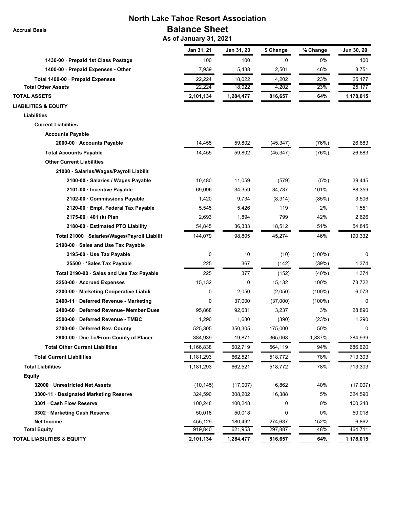| <b>North Lake Tahoe Resort Association</b>    |                        |            |           |           |            |
|-----------------------------------------------|------------------------|------------|-----------|-----------|------------|
| <b>Accrual Basis</b>                          | <b>Balance Sheet</b>   |            |           |           |            |
|                                               | As of January 31, 2021 |            |           |           |            |
|                                               | Jan 31, 21             | Jan 31, 20 | \$ Change | % Change  | Jun 30, 20 |
| 1430-00 · Prepaid 1st Class Postage           | 100                    | 100        | 0         | 0%        | 100        |
| 1400-00 · Prepaid Expenses - Other            | 7,939                  | 5,438      | 2,501     | 46%       | 8,751      |
| Total 1400-00 · Prepaid Expenses              | 22,224                 | 18,022     | 4,202     | 23%       | 25,177     |
| <b>Total Other Assets</b>                     | 22,224                 | 18,022     | 4,202     | 23%       | 25,177     |
| <b>TOTAL ASSETS</b>                           | 2,101,134              | 1,284,477  | 816,657   | 64%       | 1,178,015  |
| <b>LIABILITIES &amp; EQUITY</b>               |                        |            |           |           |            |
| <b>Liabilities</b>                            |                        |            |           |           |            |
| <b>Current Liabilities</b>                    |                        |            |           |           |            |
| <b>Accounts Payable</b>                       |                        |            |           |           |            |
| 2000-00 · Accounts Payable                    | 14,455                 | 59,802     | (45, 347) | (76%)     | 26,683     |
| <b>Total Accounts Payable</b>                 | 14,455                 | 59,802     | (45, 347) | (76%)     | 26,683     |
| <b>Other Current Liabilities</b>              |                        |            |           |           |            |
| 21000 · Salaries/Wages/Payroll Liabilit       |                        |            |           |           |            |
| 2100-00 · Salaries / Wages Payable            | 10,480                 | 11,059     | (579)     | (5%)      | 39,445     |
| 2101-00 · Incentive Payable                   | 69,096                 | 34,359     | 34,737    | 101%      | 88,359     |
| 2102-00 Commissions Payable                   | 1,420                  | 9,734      | (8, 314)  | (85%)     | 3,506      |
| 2120-00 Empl. Federal Tax Payable             | 5,545                  | 5,426      | 119       | 2%        | 1,551      |
| 2175-00 · 401 (k) Plan                        | 2,693                  | 1,894      | 799       | 42%       | 2,626      |
| 2180-00 · Estimated PTO Liability             | 54,845                 | 36,333     | 18,512    | 51%       | 54,845     |
| Total 21000 · Salaries/Wages/Payroll Liabilit | 144,079                | 98,805     | 45,274    | 46%       | 190,332    |
| 2190-00 Sales and Use Tax Payable             |                        |            |           |           |            |
| 2195-00 · Use Tax Payable                     | 0                      | 10         | (10)      | $(100\%)$ | 0          |
| 25500 · * Sales Tax Payable                   | 225                    | 367        | (142)     | (39%)     | 1,374      |
| Total 2190-00 · Sales and Use Tax Payable     | 225                    | 377        | (152)     | (40%)     | 1,374      |
| 2250-00 Accrued Expenses                      | 15,132                 | 0          | 15,132    | 100%      | 73,722     |
| 2300-00 · Marketing Cooperative Liabili       | 0                      | 2,050      | (2,050)   | $(100\%)$ | 6,073      |
| 2400-11 · Deferred Revenue - Marketing        | 0                      | 37,000     | (37,000)  | $(100\%)$ | $\Omega$   |
| 2400-60 · Deferred Revenue- Member Dues       | 95,868                 | 92,631     | 3,237     | 3%        | 28,890     |
| 2500-00 Deferred Revenue - TMBC               | 1,290                  | 1,680      | (390)     | (23%)     | 1,290      |
| 2700-00 Deferred Rev. County                  | 525,305                | 350,305    | 175,000   | 50%       | 0          |
| 2900-00 Due To/From County of Placer          | 384,939                | 19,871     | 365,068   | 1,837%    | 384,939    |
| <b>Total Other Current Liabilities</b>        | 1,166,838              | 602,719    | 564,119   | 94%       | 686,620    |
| <b>Total Current Liabilities</b>              | 1,181,293              | 662,521    | 518,772   | 78%       | 713,303    |
| <b>Total Liabilities</b>                      | 1,181,293              | 662,521    | 518,772   | 78%       | 713,303    |
| <b>Equity</b>                                 |                        |            |           |           |            |
| 32000 Unrestricted Net Assets                 | (10, 145)              | (17,007)   | 6,862     | 40%       | (17,007)   |
| 3300-11 Designated Marketing Reserve          | 324,590                | 308,202    | 16,388    | 5%        | 324,590    |
| 3301 · Cash Flow Reserve                      | 100,248                | 100,248    | 0         | 0%        | 100,248    |
| 3302 · Marketing Cash Reserve                 | 50,018                 | 50,018     | 0         | 0%        | 50,018     |
| <b>Net Income</b>                             | 455,129                | 180,492    | 274,637   | 152%      | 6,862      |
| <b>Total Equity</b>                           | 919,840                | 621,953    | 297,887   | 48%       | 464,711    |
| <b>TOTAL LIABILITIES &amp; EQUITY</b>         | 2,101,134              | 1,284,477  | 816,657   | 64%       | 1,178,015  |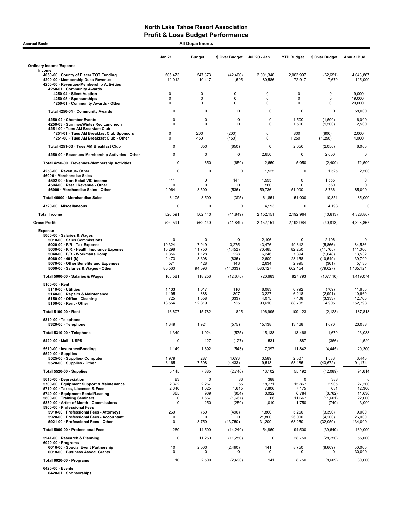| <b>Accrual Basis</b>                                                                                                                                                                                                                                                                | <b>All Departments</b>                                             |                                                                   |                                                                      |                                                                  |                                                                        |                                                                             |                                                                  |
|-------------------------------------------------------------------------------------------------------------------------------------------------------------------------------------------------------------------------------------------------------------------------------------|--------------------------------------------------------------------|-------------------------------------------------------------------|----------------------------------------------------------------------|------------------------------------------------------------------|------------------------------------------------------------------------|-----------------------------------------------------------------------------|------------------------------------------------------------------|
|                                                                                                                                                                                                                                                                                     | <b>Jan 21</b>                                                      | <b>Budget</b>                                                     | \$ Over Budget                                                       | Jul '20 - Jan                                                    | <b>YTD Budget</b>                                                      | \$ Over Budget                                                              | Annual Bud                                                       |
| <b>Ordinary Income/Expense</b>                                                                                                                                                                                                                                                      |                                                                    |                                                                   |                                                                      |                                                                  |                                                                        |                                                                             |                                                                  |
| Income<br>4050-00 County of Placer TOT Funding<br>4200-00 · Membership Dues Revenue<br>4250-00 · Revenues-Membership Activities<br>4250-01 · Community Awards                                                                                                                       | 505,473<br>12,012                                                  | 547.873<br>10,417                                                 | (42, 400)<br>1,595                                                   | 2,001,346<br>80,586                                              | 2,063,997<br>72,917                                                    | (62, 651)<br>7,670                                                          | 4,043,867<br>125,000                                             |
| 4250-04 · Silent Auction                                                                                                                                                                                                                                                            | 0                                                                  | 0                                                                 | 0                                                                    | 0                                                                | 0                                                                      | $\mathbf 0$                                                                 | 19,000                                                           |
| 4250-05 · Sponsorships<br>4250-01 · Community Awards - Other                                                                                                                                                                                                                        | 0<br>0                                                             | 0<br>0                                                            | 0<br>0                                                               | 0<br>0                                                           | 0<br>0                                                                 | 0<br>$\mathbf 0$                                                            | 19,000<br>20,000                                                 |
| Total 4250-01 · Community Awards                                                                                                                                                                                                                                                    | 0                                                                  | $\mathbf 0$                                                       | $\mathbf 0$                                                          | $\pmb{0}$                                                        | $\mathbf 0$                                                            | $\mathbf 0$                                                                 | 58,000                                                           |
| 4250-02 · Chamber Events                                                                                                                                                                                                                                                            | 0                                                                  | $\mathbf 0$                                                       | $\pmb{0}$                                                            | 0                                                                | 1,500                                                                  | (1,500)                                                                     | 6,000                                                            |
| 4250-03 · Summer/Winter Rec Luncheon<br>4251-00 · Tues AM Breakfast Club<br>4251-01 · Tues AM Breakfast Club Sponsors                                                                                                                                                               | 0<br>0                                                             | $\mathbf 0$<br>200                                                | $\mathbf 0$<br>(200)                                                 | $\mathbf 0$<br>0                                                 | 1,500<br>800                                                           | (1,500)<br>(800)                                                            | 2,500<br>2,000                                                   |
| 4251-00 · Tues AM Breakfast Club - Other                                                                                                                                                                                                                                            | 0                                                                  | 450                                                               | (450)                                                                | 0                                                                | 1,250                                                                  | (1,250)                                                                     | 4,000                                                            |
| Total 4251-00 · Tues AM Breakfast Club                                                                                                                                                                                                                                              | 0                                                                  | 650                                                               | (650)                                                                | $\mathbf 0$                                                      | 2,050                                                                  | (2,050)                                                                     | 6,000                                                            |
| 4250-00 · Revenues-Membership Activities - Other                                                                                                                                                                                                                                    | 0                                                                  | $\pmb{0}$                                                         | $\mathbf 0$                                                          | 2,650                                                            | $\mathbf 0$                                                            | 2,650                                                                       | 0                                                                |
| Total 4250-00 · Revenues-Membership Activities                                                                                                                                                                                                                                      | $\mathbf 0$                                                        | 650                                                               | (650)                                                                | 2,650                                                            | 5,050                                                                  | (2,400)                                                                     | 72,500                                                           |
| 4253-00 · Revenue-Other<br>46000 · Merchandise Sales                                                                                                                                                                                                                                | $\mathbf 0$                                                        | 0                                                                 | 0                                                                    | 1,525                                                            | 0                                                                      | 1,525                                                                       | 2,500                                                            |
| 4502-00 · Non-Retail VIC income<br>4504-00 · Retail Revenue - Other<br>46000 · Merchandise Sales - Other                                                                                                                                                                            | 141<br>U<br>2,964                                                  | $\mathbf 0$<br>$\Omega$<br>3,500                                  | 141<br><sup>n</sup><br>(536)                                         | 1,555<br>560<br>59,736                                           | 0<br>$\Omega$<br>51,000                                                | 1,555<br>560<br>8,736                                                       | 0<br>0<br>85,000                                                 |
| Total 46000 · Merchandise Sales                                                                                                                                                                                                                                                     | 3,105                                                              | 3,500                                                             | (395)                                                                | 61,851                                                           | 51,000                                                                 | 10,851                                                                      | 85,000                                                           |
| 4720-00 · Miscellaneous                                                                                                                                                                                                                                                             | 0                                                                  | 0                                                                 | 0                                                                    | 4,193                                                            | 0                                                                      | 4,193                                                                       | 0                                                                |
| <b>Total Income</b>                                                                                                                                                                                                                                                                 | 520,591                                                            | 562,440                                                           | (41, 849)                                                            | 2,152,151                                                        | 2,192,964                                                              | (40, 813)                                                                   | 4,328,867                                                        |
| <b>Gross Profit</b>                                                                                                                                                                                                                                                                 | 520,591                                                            | 562,440                                                           | (41, 849)                                                            | 2,152,151                                                        | 2,192,964                                                              | (40, 813)                                                                   | 4,328,867                                                        |
| <b>Expense</b>                                                                                                                                                                                                                                                                      |                                                                    |                                                                   |                                                                      |                                                                  |                                                                        |                                                                             |                                                                  |
| 5000-00 · Salaries & Wages<br>5010-00 · Sales Commissions<br>5020-00 $\cdot$ P/R - Tax Expense<br>5030-00 · P/R - Health Insurance Expense<br>5040-00 · P/R - Workmans Comp<br>5060-00 $\cdot$ 401 (k)<br>5070-00 Other Benefits and Expenses<br>5000-00 · Salaries & Wages - Other | $\mathbf 0$<br>10,324<br>10,298<br>1,356<br>2,473<br>571<br>80,560 | $\mathbf 0$<br>7,049<br>11,750<br>1,128<br>3,308<br>428<br>94,593 | $\mathbf 0$<br>3,275<br>(1, 452)<br>228<br>(835)<br>143<br>(14, 033) | 2,106<br>43,476<br>70,485<br>6,246<br>12,609<br>2,634<br>583,127 | $\mathbf 0$<br>49,342<br>82,250<br>7,894<br>23,158<br>2,995<br>662,154 | 2,106<br>(5,866)<br>(11, 765)<br>(1,648)<br>(10, 549)<br>(361)<br>(79, 027) | 0<br>84,586<br>141,000<br>13,532<br>39,700<br>5,135<br>1,135,121 |
| Total 5000-00 · Salaries & Wages                                                                                                                                                                                                                                                    | 105,581                                                            | 118,256                                                           | (12, 675)                                                            | 720,683                                                          | 827,793                                                                | (107, 110)                                                                  | 1,419,074                                                        |
| $5100-00 \cdot$ Rent<br>$5110-00 \cdot$ Utilities<br>5140-00 · Repairs & Maintenance<br>5150-00 · Office - Cleaning<br>5100-00 · Rent - Other                                                                                                                                       | 1,133<br>1,195<br>725<br>13,554                                    | 1,017<br>888<br>1,058<br>12,819                                   | 116<br>307<br>(333)<br>735                                           | 6,083<br>3,227<br>4,075<br>93,610                                | 6,792<br>6,218<br>7,408<br>88,705                                      | (709)<br>(2,991)<br>(3, 333)<br>4,905                                       | 11,655<br>10,660<br>12,700<br>152,798                            |
| Total 5100-00 · Rent                                                                                                                                                                                                                                                                | 16,607                                                             | 15,782                                                            | 825                                                                  | 106,995                                                          | 109,123                                                                | (2, 128)                                                                    | 187,813                                                          |
| 5310-00 · Telephone<br>5320-00 · Telephone                                                                                                                                                                                                                                          | 1,349                                                              | 1,924                                                             | (575)                                                                | 15,138                                                           | 13,468                                                                 | 1,670                                                                       | 23,088                                                           |
| Total 5310-00 · Telephone                                                                                                                                                                                                                                                           | 1,349                                                              | 1,924                                                             | (575)                                                                | 15,138                                                           | 13,468                                                                 | 1,670                                                                       | 23,088                                                           |
| 5420-00 · Mail - USPS                                                                                                                                                                                                                                                               | 0                                                                  | 127                                                               | (127)                                                                | 531                                                              | 887                                                                    | (356)                                                                       | 1,520                                                            |
| 5510-00 · Insurance/Bonding<br>$5520-00 \cdot$ Supplies                                                                                                                                                                                                                             | 1,149                                                              | 1,692                                                             | (543)                                                                | 7,397                                                            | 11,842                                                                 | (4, 445)                                                                    | 20,300                                                           |
| 5525-00 · Supplies- Computer<br>5520-00 · Supplies - Other                                                                                                                                                                                                                          | 1,979<br>3,165                                                     | 287<br>7,598                                                      | 1,693<br>(4, 433)                                                    | 3,589<br>9,513                                                   | 2,007<br>53,185                                                        | 1,583<br>(43, 672)                                                          | 3,440<br>91,174                                                  |
| Total 5520-00 · Supplies                                                                                                                                                                                                                                                            | 5,145                                                              | 7,885                                                             | (2,740)                                                              | 13,102                                                           | 55,192                                                                 | (42,089)                                                                    | 94,614                                                           |
| 5610-00 Depreciation<br>5700-00 · Equipment Support & Maintenance<br>5710-00 · Taxes, Licenses & Fees<br>5740-00 · Equipment Rental/Leasing<br>5800-00 · Training Seminars<br>5850-00 · Artist of Month - Commissions                                                               | 83<br>2,322<br>2,640<br>365<br>0<br>$\mathbf 0$                    | 0<br>2,267<br>1,025<br>969<br>1,667<br>250                        | 83<br>55<br>1,615<br>(604)<br>(1,667)<br>(250)                       | 388<br>18,771<br>7,806<br>3,022<br>66<br>1,010                   | 0<br>15,867<br>7,175<br>6,784<br>11,667<br>1,750                       | 388<br>2,905<br>631<br>(3,762)<br>(11,601)<br>(740)                         | 0<br>27,200<br>12,300<br>11,630<br>22,000<br>3,000               |
| 5900-00 · Professional Fees<br>5910-00 · Professional Fees - Attorneys<br>5920-00 · Professional Fees - Accountant<br>5921-00 · Professional Fees - Other                                                                                                                           | 260<br>0<br>0                                                      | 750<br>$\Omega$<br>13,750                                         | (490)<br>O<br>(13, 750)                                              | 1,860<br>21,800<br>31,200                                        | 5,250<br>26,000<br>63,250                                              | (3,390)<br>(4,200)<br>(32,050)                                              | 9,000<br>26,000<br>134,000                                       |
| Total 5900-00 · Professional Fees                                                                                                                                                                                                                                                   | 260                                                                | 14,500                                                            | (14, 240)                                                            | 54,860                                                           | 94,500                                                                 | (39, 640)                                                                   | 169,000                                                          |
| 5941-00 · Research & Planning                                                                                                                                                                                                                                                       | 0                                                                  | 11,250                                                            | (11, 250)                                                            | 0                                                                | 28,750                                                                 | (28, 750)                                                                   | 55,000                                                           |
| $6020-00 \cdot$ Programs<br>6016-00 · Special Event Partnership<br>6018-00 · Business Assoc. Grants                                                                                                                                                                                 | 10<br>0                                                            | 2,500<br>0                                                        | (2, 490)<br>0                                                        | 141<br>0                                                         | 8,750<br>0                                                             | (8,609)<br>0                                                                | 50,000<br>30,000                                                 |
| Total 6020-00 · Programs                                                                                                                                                                                                                                                            | 10                                                                 | 2,500                                                             | (2, 490)                                                             | 141                                                              | 8,750                                                                  | (8,609)                                                                     | 80,000                                                           |

6420-00 · Events 6420-01 · Sponsorships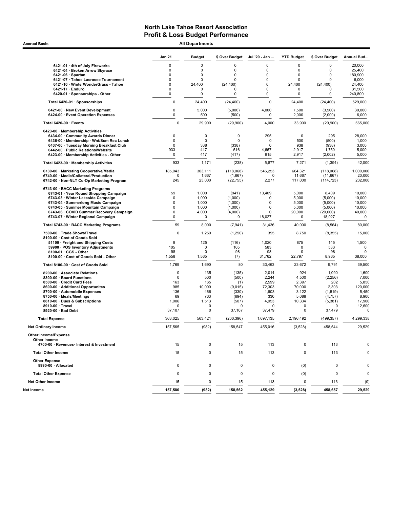Accrual Basis **Accrual Basis All Departments** 

|                                                                                      | Jan 21              | <b>Budget</b>           | \$ Over Budget          | Jul '20 - Jan              | <b>YTD Budget</b>  | \$ Over Budget       | Annual Bud         |
|--------------------------------------------------------------------------------------|---------------------|-------------------------|-------------------------|----------------------------|--------------------|----------------------|--------------------|
| 6421-01 · 4th of July Fireworks                                                      | 0                   | 0                       | 0                       | 0                          | 0                  | 0                    | 20,000             |
| 6421-04 · Broken Arrow Skyrace                                                       | 0                   | $\mathbf 0$             | 0                       | 0                          | 0                  | $\mathbf 0$          | 25,400             |
| $6421-06 \cdot$ Spartan                                                              | 0                   | $\mathbf 0$             | 0                       | 0                          | 0                  | $\mathbf 0$          | 180,900            |
| 6421-07 · Tahoe Lacrosse Tournament                                                  | $\Omega$            | $\mathbf 0$             | $\Omega$                | 0                          | 0                  | $\Omega$             | 6,000              |
| 6421-10 · WinterWonderGrass - Tahoe                                                  | 0                   | 24,400                  | (24, 400)               | 0                          | 24,400             | (24, 400)            | 24,400             |
| 6421-17 · Enduro                                                                     | 0<br>$\Omega$       | $\Omega$<br>$\mathbf 0$ | 0<br>$\mathbf 0$        | 0                          | 0                  | $\mathbf 0$          | 31,500             |
| 6420-01 · Sponsorships - Other<br>Total 6420-01 · Sponsorships                       | 0                   | 24,400                  | (24, 400)               | 0<br>$\mathbf 0$           | 0<br>24,400        | 0                    | 240,800<br>529,000 |
| 6421-00 · New Event Development                                                      | 0                   | 5,000                   | (5,000)                 | 4,000                      | 7,500              | (24, 400)<br>(3,500) | 30,000             |
| 6424-00 · Event Operation Expenses                                                   | 0                   | 500                     | (500)                   | 0                          | 2,000              | (2,000)              | 6,000              |
| Total 6420-00 · Events                                                               | 0                   | 29,900                  | (29,900)                | 4,000                      | 33,900             | (29,900)             | 565,000            |
| 6423-00 · Membership Activities                                                      |                     |                         |                         |                            |                    |                      |                    |
| 6434-00 Community Awards Dinner                                                      | 0<br>0              | 0<br>$\mathbf 0$        | $\mathbf 0$<br>$\Omega$ | 295<br>$\mathbf 0$         | $\mathbf 0$<br>500 | 295                  | 28,000             |
| 6436-00 · Membership - Wnt/Sum Rec Lunch<br>6437-00 · Tuesday Morning Breakfast Club | $\Omega$            | 338                     | (338)                   | $\Omega$                   | 938                | (500)<br>(938)       | 1,000<br>3,000     |
| 6442-00 · Public Relations/Website                                                   | 933                 | 417                     | 516                     | 4,667                      | 2,917              | 1,750                | 5,000              |
| 6423-00 · Membership Activities - Other                                              | 0                   | 417                     | (417)                   | 915                        | 2,917              | (2,002)              | 5,000              |
| Total 6423-00 · Membership Activities                                                | 933                 | 1,171                   | (238)                   | 5,877                      | 7,271              | (1, 394)             | 42,000             |
| 6730-00 · Marketing Cooperative/Media                                                | 185,043             | 303,111                 | (118,068)               | 546,253                    | 664,321            | (118,068)            | 1,000,000          |
| 6740-00 · Media/Collateral/Production                                                | 0                   | 1,667                   | (1,667)                 | 0                          | 11,667             | (11, 667)            | 20,000             |
| 6742-00 · Non-NLT Co-Op Marketing Program                                            | 245                 | 23,000                  | (22, 755)               | 2,277                      | 117,000            | (114, 723)           | 232,000            |
| 6743-00 · BACC Marketing Programs                                                    |                     |                         |                         |                            |                    |                      |                    |
| 6743-01 · Year Round Shopping Campaign                                               | 59                  | 1,000                   | (941)                   | 13,409                     | 5,000              | 8,409                | 10,000             |
| 6743-03 · Winter Lakeside Campaign                                                   | $\mathbf 0$         | 1,000                   | (1,000)                 | $\mathbf 0$                | 5,000              | (5,000)              | 10,000             |
| 6743-04 · Summerlong Music Campaign<br>6743-05 · Summer Mountain Campaign            | 0<br>$\mathbf 0$    | 1,000<br>1,000          | (1,000)<br>(1,000)      | $\mathbf 0$<br>$\mathbf 0$ | 5,000<br>5,000     | (5,000)<br>(5,000)   | 10,000<br>10,000   |
| 6743-06 · COVID Summer Recovery Campaign                                             | $\mathsf{O}\xspace$ | 4,000                   | (4,000)                 | $\mathbf 0$                | 20,000             | (20,000)             | 40,000             |
| 6743-07 · Winter Regional Campaign                                                   | 0                   | 0                       | $\mathbf 0$             | 18,027                     | 0                  | 18,027               | $\mathbf 0$        |
| Total 6743-00 · BACC Marketing Programs                                              | 59                  | 8,000                   | (7, 941)                | 31,436                     | 40,000             | (8, 564)             | 80,000             |
| 7500-00 · Trade Shows/Travel                                                         | 0                   | 1,250                   | (1,250)                 | 395                        | 8,750              | (8, 355)             | 15,000             |
| 8100-00 · Cost of Goods Sold<br>51100 · Freight and Shipping Costs                   | 9                   | 125                     | (116)                   | 1,020                      | 875                | 145                  | 1,500              |
| 59900 · POS Inventory Adjustments                                                    | 105                 | $\mathbf 0$             | 105                     | 583                        | 0                  | 583                  | $\mathbf 0$        |
| 8100-01 · CGS - Other                                                                | 98                  | $\mathbf 0$             | 98                      | 98                         | 0                  | 98                   | $\mathbf 0$        |
| 8100-00 · Cost of Goods Sold - Other                                                 | 1,558               | 1,565                   | (7)                     | 31,762                     | 22,797             | 8,965                | 38,000             |
| Total 8100-00 · Cost of Goods Sold                                                   | 1,769               | 1,690                   | 80                      | 33,463                     | 23,672             | 9,791                | 39,500             |
| 8200-00 · Associate Relations                                                        | 0                   | 135                     | (135)                   | 2,014                      | 924                | 1,090                | 1,600              |
| 8300-00 · Board Functions                                                            | 0                   | 500                     | (500)                   | 2,244                      | 4,500              | (2, 256)             | 7,000              |
| 8500-00 · Credit Card Fees                                                           | 163                 | 165                     | (1)                     | 2,599                      | 2,397              | 202                  | 5,850              |
| 8600-00 · Additional Opportunites                                                    | 985                 | 10,000                  | (9,015)                 | 72,303                     | 70,000             | 2,303                | 120,000            |
| 8700-00 · Automobile Expenses<br>8750-00 · Meals/Meetings                            | 136<br>69           | 466<br>763              | (330)<br>(694)          | 1,603<br>330               | 3,122<br>5,088     | (1,519)              | 5,450<br>8,900     |
| 8810-00 · Dues & Subscriptions                                                       | 1,006               | 1,513                   | (507)                   | 4,953                      | 10,334             | (4, 757)<br>(5,381)  | 17,900             |
| 8910-00 · Travel                                                                     | 0                   | $\Omega$                | 0                       | 0                          | $\mathbf 0$        | 0                    | 12,600             |
| 8920-00 · Bad Debt                                                                   | 37,107              | 0                       | 37,107                  | 37,479                     | $\mathbf 0$        | 37,479               | 0                  |
| <b>Total Expense</b>                                                                 | 363,025             | 563,421                 | (200, 396)              | 1,697,135                  | 2,196,492          | (499, 357)           | 4,299,338          |
| <b>Net Ordinary Income</b>                                                           | 157,565             | (982)                   | 158,547                 | 455.016                    | (3,528)            | 458,544              | 29,529             |
| <b>Other Income/Expense</b>                                                          |                     |                         |                         |                            |                    |                      |                    |
| Other Income<br>4700-00 · Revenues- Interest & Investment                            | 15                  | 0                       | 15                      | 113                        | 0                  | 113                  | 0                  |
| <b>Total Other Income</b>                                                            | 15                  | $\pmb{0}$               | 15                      | 113                        | $\mathbf 0$        | 113                  | 0                  |
| <b>Other Expense</b><br>8990-00 · Allocated                                          | 0                   | 0                       | 0                       | 0                          | (0)                | 0                    | $\mathbf 0$        |
| <b>Total Other Expense</b>                                                           | 0                   | $\pmb{0}$               | 0                       | $\mathbf 0$                | (0)                | $\pmb{0}$            | $\mathbf 0$        |
| <b>Net Other Income</b>                                                              | 15                  | 0                       | 15                      | 113                        | 0                  | 113                  | (0)                |
| Net Income                                                                           | 157,580             | (982)                   | 158,562                 | 455,129                    | (3, 528)           | 458,657              | 29,529             |
|                                                                                      |                     |                         |                         |                            |                    |                      |                    |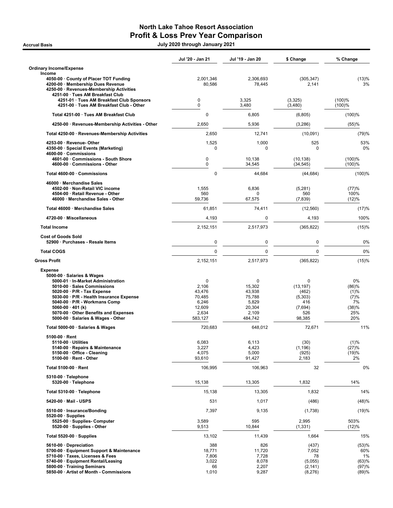## North Lake Tahoe Resort Association Profit & Loss Prev Year Comparison

.<br>1202 July 2020 through January 2021 حديث المستخدمة July 2020 through January 2021

|                                                                                                                                                                                                                                                                                                                                               | Jul '20 - Jan 21                                                      | Jul '19 - Jan 20                                                       | \$ Change                                                             | % Change                                                 |
|-----------------------------------------------------------------------------------------------------------------------------------------------------------------------------------------------------------------------------------------------------------------------------------------------------------------------------------------------|-----------------------------------------------------------------------|------------------------------------------------------------------------|-----------------------------------------------------------------------|----------------------------------------------------------|
| Ordinary Income/Expense<br>Income                                                                                                                                                                                                                                                                                                             |                                                                       |                                                                        |                                                                       |                                                          |
| 4050-00 · County of Placer TOT Funding<br>4200-00 · Membership Dues Revenue<br>4250-00 · Revenues-Membership Activities<br>4251-00 · Tues AM Breakfast Club                                                                                                                                                                                   | 2,001,346<br>80,586                                                   | 2,306,693<br>78,445                                                    | (305, 347)<br>2,141                                                   | (13)%<br>3%                                              |
| 4251-01 · Tues AM Breakfast Club Sponsors<br>4251-00 · Tues AM Breakfast Club - Other                                                                                                                                                                                                                                                         | 0<br>0                                                                | 3,325<br>3,480                                                         | (3,325)<br>(3,480)                                                    | (100)%<br>(100)%                                         |
| Total 4251-00 · Tues AM Breakfast Club                                                                                                                                                                                                                                                                                                        | $\mathbf 0$                                                           | 6,805                                                                  | (6,805)                                                               | (100)%                                                   |
| 4250-00 · Revenues-Membership Activities - Other                                                                                                                                                                                                                                                                                              | 2,650                                                                 | 5,936                                                                  | (3,286)                                                               | (55)%                                                    |
| Total 4250-00 · Revenues-Membership Activities                                                                                                                                                                                                                                                                                                | 2,650                                                                 | 12,741                                                                 | (10,091)                                                              | (79)%                                                    |
| 4253-00 · Revenue- Other<br>4350-00 · Special Events (Marketing)<br>4600-00 Commissions                                                                                                                                                                                                                                                       | 1,525<br>0                                                            | 1,000<br>0                                                             | 525<br>0                                                              | 53%<br>0%                                                |
| 4601-00 · Commissions - South Shore<br>4600-00 · Commissions - Other                                                                                                                                                                                                                                                                          | 0<br>$\mathbf 0$                                                      | 10,138<br>34,545                                                       | (10, 138)<br>(34, 545)                                                | (100)%<br>(100)%                                         |
| Total 4600-00 · Commissions                                                                                                                                                                                                                                                                                                                   | $\mathbf 0$                                                           | 44,684                                                                 | (44, 684)                                                             | (100)%                                                   |
| 46000 · Merchandise Sales<br>4502-00 · Non-Retail VIC income<br>4504-00 · Retail Revenue - Other<br>46000 · Merchandise Sales - Other                                                                                                                                                                                                         | 1,555<br>560<br>59,736                                                | 6.836<br>0<br>67,575                                                   | (5,281)<br>560<br>(7,839)                                             | (77)%<br>100%<br>(12)%                                   |
| Total 46000 · Merchandise Sales                                                                                                                                                                                                                                                                                                               | 61,851                                                                | 74,411                                                                 | (12, 560)                                                             | (17)%                                                    |
| 4720-00 · Miscellaneous                                                                                                                                                                                                                                                                                                                       | 4,193                                                                 | 0                                                                      | 4,193                                                                 | 100%                                                     |
| <b>Total Income</b>                                                                                                                                                                                                                                                                                                                           | 2,152,151                                                             | 2,517,973                                                              | (365, 822)                                                            | (15)%                                                    |
| <b>Cost of Goods Sold</b><br>52900 · Purchases - Resale Items                                                                                                                                                                                                                                                                                 | 0                                                                     | 0                                                                      | $\mathbf 0$                                                           | 0%                                                       |
| <b>Total COGS</b>                                                                                                                                                                                                                                                                                                                             | $\Omega$                                                              | $\mathbf 0$                                                            | $\Omega$                                                              | 0%                                                       |
| <b>Gross Profit</b>                                                                                                                                                                                                                                                                                                                           | 2,152,151                                                             | 2,517,973                                                              | (365, 822)                                                            | (15)%                                                    |
| <b>Expense</b><br>5000-00 · Salaries & Wages<br>5000-01 · In-Market Administration<br>5010-00 · Sales Commissions<br>$5020-00 \cdot P/R$ - Tax Expense<br>5030-00 · P/R - Health Insurance Expense<br>5040-00 · P/R - Workmans Comp<br>5060-00 $\cdot$ 401 (k)<br>5070-00 · Other Benefits and Expenses<br>5000-00 · Salaries & Wages - Other | 0<br>2,106<br>43,476<br>70,485<br>6,246<br>12,609<br>2,634<br>583,127 | 0<br>15,302<br>43,938<br>75,788<br>5,829<br>20,304<br>2,109<br>484,742 | 0<br>(13, 197)<br>(462)<br>(5,303)<br>416<br>(7,694)<br>526<br>98,385 | 0%<br>(86)%<br>(1)%<br>(7)%<br>7%<br>(38)%<br>25%<br>20% |
| Total 5000-00 · Salaries & Wages                                                                                                                                                                                                                                                                                                              | 720,683                                                               | 648,012                                                                | 72,671                                                                | 11%                                                      |
| $5100-00 \cdot$ Rent<br>$5110-00 \cdot$ Utilities<br>5140-00 · Repairs & Maintenance<br>5150-00 · Office - Cleaning<br>$5100-00 \cdot$ Rent - Other                                                                                                                                                                                           | 6,083<br>3,227<br>4,075<br>93,610                                     | 6,113<br>4,423<br>5,000<br>91,427                                      | (30)<br>(1, 196)<br>(925)<br>2,183                                    | (1)%<br>(27)%<br>(19)%<br>2%                             |
| Total 5100-00 · Rent                                                                                                                                                                                                                                                                                                                          | 106,995                                                               | 106,963                                                                | 32                                                                    | 0%                                                       |
| 5310-00 · Telephone<br>5320-00 · Telephone                                                                                                                                                                                                                                                                                                    | 15,138                                                                | 13,305                                                                 | 1,832                                                                 | 14%                                                      |
| Total 5310-00 · Telephone                                                                                                                                                                                                                                                                                                                     | 15,138                                                                | 13,305                                                                 | 1,832                                                                 | 14%                                                      |
| 5420-00 · Mail - USPS                                                                                                                                                                                                                                                                                                                         | 531                                                                   | 1,017                                                                  | (486)                                                                 | (48)%                                                    |
| 5510-00 · Insurance/Bonding<br>$5520-00 \cdot$ Supplies                                                                                                                                                                                                                                                                                       | 7,397                                                                 | 9,135                                                                  | (1,738)                                                               | (19)%                                                    |
| 5525-00 · Supplies- Computer<br>5520-00 · Supplies - Other                                                                                                                                                                                                                                                                                    | 3,589<br>9,513                                                        | 595<br>10,844                                                          | 2,995<br>(1, 331)                                                     | 503%<br>(12)%                                            |
| Total 5520-00 $\cdot$ Supplies                                                                                                                                                                                                                                                                                                                | 13,102                                                                | 11,439                                                                 | 1,664                                                                 | 15%                                                      |
| 5610-00 Depreciation<br>5700-00 · Equipment Support & Maintenance<br>5710-00 · Taxes, Licenses & Fees<br>5740-00 · Equipment Rental/Leasing<br>5800-00 · Training Seminars<br>5850-00 · Artist of Month - Commissions                                                                                                                         | 388<br>18,771<br>7,806<br>3,022<br>66<br>1,010                        | 826<br>11,720<br>7,728<br>8,078<br>2,207<br>9,287                      | (437)<br>7,052<br>78<br>(5,055)<br>(2, 141)<br>(8,276)                | (53)%<br>60%<br>1%<br>(63)%<br>(97)%<br>(89)%            |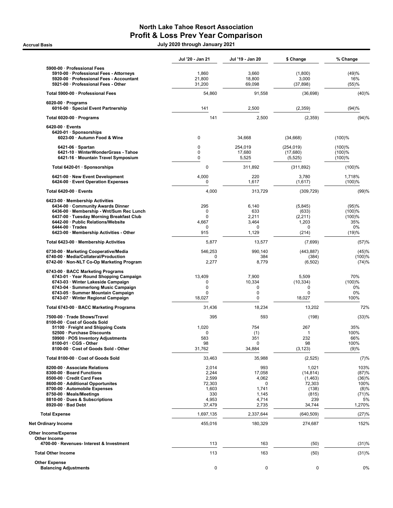## North Lake Tahoe Resort Association Profit & Loss Prev Year Comparison

.<br>1202 July 2020 through January 2021 حديث المستخدمة July 2020 through January 2021

|                                                                                                                                                                                                                                                                         | Jul '20 - Jan 21                                                     | Jul '19 - Jan 20                                                          | \$ Change                                                                   | % Change                                                        |
|-------------------------------------------------------------------------------------------------------------------------------------------------------------------------------------------------------------------------------------------------------------------------|----------------------------------------------------------------------|---------------------------------------------------------------------------|-----------------------------------------------------------------------------|-----------------------------------------------------------------|
| 5900-00 · Professional Fees<br>5910-00 · Professional Fees - Attorneys<br>5920-00 · Professional Fees - Accountant<br>5921-00 · Professional Fees - Other                                                                                                               | 1,860<br>21,800<br>31,200                                            | 3,660<br>18,800<br>69,098                                                 | (1,800)<br>3,000<br>(37, 898)                                               | (49)%<br>16%<br>(55)%                                           |
| Total 5900-00 · Professional Fees                                                                                                                                                                                                                                       | 54,860                                                               | 91,558                                                                    | (36, 698)                                                                   | (40)%                                                           |
| $6020-00 \cdot$ Programs<br>6016-00 · Special Event Partnership                                                                                                                                                                                                         | 141                                                                  | 2,500                                                                     | (2,359)                                                                     | (94)%                                                           |
| Total 6020-00 · Programs                                                                                                                                                                                                                                                | 141                                                                  | 2,500                                                                     | (2, 359)                                                                    | (94)%                                                           |
| $6420-00 \cdot$ Events<br>6420-01 · Sponsorships<br>6023-00 · Autumn Food & Wine                                                                                                                                                                                        | 0                                                                    | 34,668                                                                    | (34, 668)                                                                   | (100)%                                                          |
| $6421-06 \cdot$ Spartan<br>6421-10 · WinterWonderGrass - Tahoe<br>6421-16 · Mountain Travel Symposium                                                                                                                                                                   | $\mathbf 0$<br>0<br>$\mathbf 0$                                      | 254,019<br>17,680<br>5,525                                                | (254, 019)<br>(17,680)<br>(5, 525)                                          | (100)%<br>(100)%<br>(100)%                                      |
| Total 6420-01 · Sponsorships                                                                                                                                                                                                                                            | $\mathbf 0$                                                          | 311,892                                                                   | (311, 892)                                                                  | (100)%                                                          |
| 6421-00 · New Event Development<br>6424-00 · Event Operation Expenses                                                                                                                                                                                                   | 4,000<br>$\mathbf 0$                                                 | 220<br>1,617                                                              | 3,780<br>(1,617)                                                            | 1,718%<br>(100)%                                                |
| Total 6420-00 · Events                                                                                                                                                                                                                                                  | 4,000                                                                | 313.729                                                                   | (309, 729)                                                                  | (99)%                                                           |
| 6423-00 · Membership Activities<br>6434-00 · Community Awards Dinner<br>6436-00 · Membership - Wnt/Sum Rec Lunch<br>6437-00 · Tuesday Morning Breakfast Club<br>6442-00 · Public Relations/Website<br>$6444-00 \cdot$ Trades<br>6423-00 · Membership Activities - Other | 295<br>$\mathbf 0$<br>$\mathbf 0$<br>4,667<br>$\Omega$<br>915        | 6,140<br>633<br>2,211<br>3,464<br>0<br>1,129                              | (5,845)<br>(633)<br>(2,211)<br>1,203<br>0<br>(214)                          | (95)%<br>(100)%<br>(100)%<br>35%<br>$0\%$<br>(19)%              |
| Total 6423-00 · Membership Activities                                                                                                                                                                                                                                   | 5,877                                                                | 13,577                                                                    | (7,699)                                                                     | (57)%                                                           |
| 6730-00 · Marketing Cooperative/Media<br>6740-00 · Media/Collateral/Production<br>6742-00 · Non-NLT Co-Op Marketing Program                                                                                                                                             | 546,253<br>0<br>2,277                                                | 990,140<br>384<br>8,779                                                   | (443, 887)<br>(384)<br>(6, 502)                                             | (45)%<br>(100)%<br>(74)%                                        |
| 6743-00 · BACC Marketing Programs<br>6743-01 · Year Round Shopping Campaign<br>6743-03 · Winter Lakeside Campaign<br>6743-04 · Summerlong Music Campaign<br>6743-05 · Summer Mountain Campaign<br>6743-07 · Winter Regional Campaign                                    | 13,409<br>0<br>$\mathbf 0$<br>$\mathbf 0$<br>18,027                  | 7,900<br>10,334<br>0<br>0<br>0                                            | 5,509<br>(10, 334)<br>0<br>0<br>18,027                                      | 70%<br>(100)%<br>0%<br>0%<br>100%                               |
| Total 6743-00 · BACC Marketing Programs                                                                                                                                                                                                                                 | 31,436                                                               | 18,234                                                                    | 13,202                                                                      | 72%                                                             |
| 7500-00 · Trade Shows/Travel<br>8100-00 · Cost of Goods Sold                                                                                                                                                                                                            | 395                                                                  | 593                                                                       | (198)                                                                       | (33)%                                                           |
| 51100 · Freight and Shipping Costs<br>52500 · Purchase Discounts<br>59900 · POS Inventory Adjustments<br>$8100-01 \cdot \text{CGS} - \text{Other}$<br>8100-00 · Cost of Goods Sold - Other                                                                              | 1,020<br>0<br>583<br>98<br>31,762                                    | 754<br>(1)<br>351<br>$\mathbf 0$<br>34,884                                | 267<br>$\mathbf{1}$<br>232<br>98<br>(3, 123)                                | 35%<br>100%<br>66%<br>100%<br>(9)%                              |
| Total 8100-00 · Cost of Goods Sold                                                                                                                                                                                                                                      | 33,463                                                               | 35,988                                                                    | (2,525)                                                                     | (7)%                                                            |
| 8200-00 Associate Relations<br>8300-00 · Board Functions<br>8500-00 · Credit Card Fees<br>8600-00 · Additional Opportunites<br>8700-00 · Automobile Expenses<br>8750-00 · Meals/Meetings<br>8810-00 · Dues & Subscriptions<br>8920-00 · Bad Debt                        | 2,014<br>2,244<br>2,599<br>72,303<br>1,603<br>330<br>4,953<br>37,479 | 993<br>17,058<br>4,062<br>$\mathbf 0$<br>1,741<br>1,145<br>4,714<br>2,735 | 1,021<br>(14, 814)<br>(1, 463)<br>72,303<br>(138)<br>(815)<br>239<br>34,744 | 103%<br>(87)%<br>(36)%<br>100%<br>(8)%<br>(71)%<br>5%<br>1,270% |
| <b>Total Expense</b>                                                                                                                                                                                                                                                    | 1,697,135                                                            | 2,337,644                                                                 | (640, 509)                                                                  | (27)%                                                           |
| <b>Net Ordinary Income</b>                                                                                                                                                                                                                                              | 455,016                                                              | 180,329                                                                   | 274,687                                                                     | 152%                                                            |
| <b>Other Income/Expense</b>                                                                                                                                                                                                                                             |                                                                      |                                                                           |                                                                             |                                                                 |
| Other Income<br>4700-00 · Revenues- Interest & Investment                                                                                                                                                                                                               | 113                                                                  | 163                                                                       | (50)                                                                        | (31)%                                                           |
| <b>Total Other Income</b>                                                                                                                                                                                                                                               | 113                                                                  | 163                                                                       | (50)                                                                        | (31)%                                                           |
| <b>Other Expense</b><br><b>Balancing Adjustments</b>                                                                                                                                                                                                                    | 0                                                                    | 0                                                                         | 0                                                                           | 0%                                                              |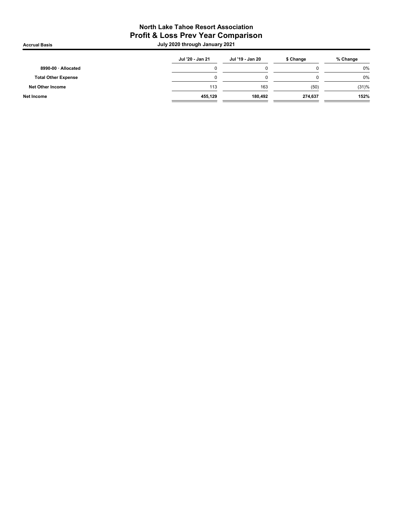## North Lake Tahoe Resort Association Profit & Loss Prev Year Comparison

.<br>1202 July 2020 through January 2021 حديث المستخدمة July 2020 through January 2021

|                            | Jul '20 - Jan 21 | Jul '19 - Jan 20 | \$ Change | % Change |
|----------------------------|------------------|------------------|-----------|----------|
| 8990-00 · Allocated        |                  |                  |           | 0%       |
| <b>Total Other Expense</b> |                  |                  |           | 0%       |
| Net Other Income           | 113              | 163              | (50)      | (31)%    |
| Net Income                 | 455.129          | 180.492          | 274.637   | 152%     |
|                            |                  |                  |           |          |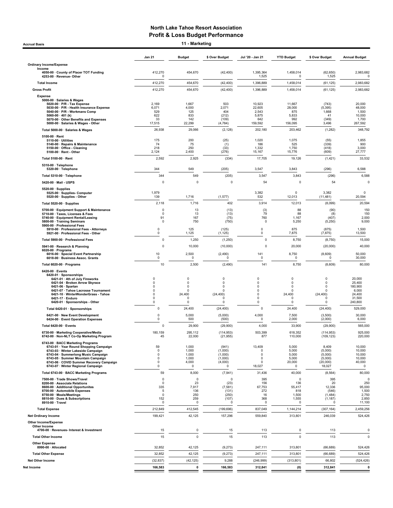Accrual Basis 11 - Marketing

Jan 21 Budget \$ Over Budget Jul '20 - Jan 21 YTD Budget \$ Over Budget Annual Budget Ordinary Income/Expense Income 4050-00 · County of Placer TOT Funding 412,270 454,670 (42,400) 1,395,364 1,458,014 (62,650) 2,983,682 4253-00 · Revenue- Other 0 1,525 0 1,525 0 Total Income 412,270 454,670 (42,400) 1,396,889 1,458,014 (61,125) 2,983,682 Gross Profit 412,270 454,670 (42,400) 1,396,889 1,458,014 (61,125) 2,983,682 Expense 5000-00 · Salaries & Wages 5020-00 · P/R - Tax Expense 2,169 1,667 503 10,923 11,667 (743) 20,000 5030-00 · P/R - Health Insurance Expense 6,071 4,000 2,071 22,605 28,000 (5,395) 48,000 5040-00 · P/R - Workmans Comp 529 125 404 2,543 875 1,668 1,500 5060-00 · 401 (k) 622 833 (212) 5,875 5,833 41 10,000 5070-00 · Other Benefits and Expenses 33 142 (109) 642 992 (349) 1,700 5000-00 · Salaries & Wages - Other 17,515 22,299 (4,784) 159,592 156,095 3,496 267,592 Total 5000-00 · Salaries & Wages 26,938 29,066 (2,128) 202,180 203,462 (1,282) 348,792 5100-00 · Rent 5110-00 · Utilities 175 200 (25) 1,020 1,075 (55) 1,855 5140-00 · Repairs & Maintenance 74 75 (1) 186 525 (339) 900 5150-00 · Office - Cleaning 218 250 (33) 1,332 1,750 (418) 3,000 51**00-00 · Rent - Other 2**,124 2,400 (276) 15,167 15,776 (609) 27,777 Total 5100-00 · Rent 2,592 2,925 (334) 17,705 19,126 (1,421) 33,532 5310-00 · Telephone 5320-00 · Telephone 544 549 (205) 3,547 3,843 (296) 6,588 Total 5310-00 · Telephone 344 549 (205) 3,547 3,843 (296) 6,588 5420-00 · Mail - USPS 0 0 0 54 0 54 0 5520-00 · Supplies 5525-00 · Supplies- Computer 1,979 3,382 0 3,382 0 5520-00 · Supplies - Other 139 1,716 (1,577) 532 12,013 (11,481) 20,594 Total 5520-00 · Supplies 2,118 1,716 402 3,914 12,013 (8,099) 20,594 5700-00 · Equipment Support & Maintenance 0 13 (13) (3) 88 (90) 150 5710-00 · Taxes, Licenses & Fees 0 13 (13) 79 88 (8) 150 5740-00 · Equipment Rental/Leasing 91 167 (75) 760 1,167 (407) 2,000 5800-00 · Training Seminars 0 750 (750) 0 5,250 (5,250) 9,000 5900-00 · Professional Fees 5910-00 · Professional Fees - Attorneys 0 125 (125) 0 875 (875) 1,500 5921-00 · Professional Fees - Other Total 5900-00 · Professional Fees 0 1,250 (1,250) 0 8,750 (8,750) 15,000 ercentrial of the search & Planning and the control of the control of the control of the control of the control of the control of the control of the control of the control of the control of the control of the control of th 6020-00 · Programs 6016-00 · Special Event Partnership 10 2,500 (2,490) 141 8,750 (8,609) 50,000 6018-00 · Business Assoc. Grants 0 0 0 0 0 0 30,000 Total 6020-00 · Programs 10 2,500 (2,490) 141 8,750 (8,609) 80,000 6420-00 · Events 6420-01 · Sponsorships 6421-01 · 4th of July Fireworks 0 0 0 0 0 0 20,000 6421-04 · Broken Arrow Skyrace 0 0 0 0 0 0 25,400 6421-06 · Spartan 0 0 0 0 0 0 180,900 6421-07 · Tahoe Lacrosse Tournament 0 0 0 0 0 0 6,000 6421-10 · WinterWonderGrass - Tahoe 0 24,400 (24,400) 0 24,400 (24,400) 0 24,400 (24,400) 24,400<br>1,4400 0 24,400 (24,400) 0 24,400 0 0 31,500 0 0 31,500 6421-17 · Enduro 0 0 0 0 0 0 31,500 6420-01 · Sponsorships - Other 0 0 0 0 0 0 240,800 Total 6420-01 · Sponsorships 0 24,400 (24,400) 0 24,400 (24,400) 529,000 6421-00 · New Event Development 0 5,000 (5,000) 4,000 7,500 (3,500) 30,000 6424-00 · Event Operation Expenses Total 6420-00 · Events 0 29,900 4,000 33,900 565,000 6730-00 · Marketing Cooperative/Media 180,159 295,112 (114,953) 503,399 618,352 (114,953) 925,000 6742-00 · Non-NLT Co-Op Marketing Program 45 22,000 (21,955) 877 110,000 (109,123) 220,000 6743-00 · BACC Marketing Programs 6743-01 · Year Round Shopping Campaign 59 1,000 (941) 13,409 5,000 8,409 10,000 6743-03 · Winter Lakeside Campaign 0 1,000 (1,000) 0 5,000 (5,000) 10,000 6743-04 · Summerlong Music Campaign 0 1,000 (1,000) 0 5,000 (5,000) 10,000 6743-05 · Summer Mountain Campaign 0 1,000 (1,000) 0 5,000 (5,000) 10,000 6743-06 · COVID Summer Recovery Campaign 0 4,000 (4,000) 0 20,000 (20,000) 40,000 6743-07 · Winter Regional Campaign 0 0 0 18,027 0 18,027 0 Total 6743-00 · BACC Marketing Programs 59 8,000 (7,941) 31,436 40,000 (8,564) 80,000 7500-00 · Trade Shows/Travel 0 0 0 395 0 395 0 8200-00 · Associate Relations 0 23 (23) 156 136 20 250 8600-00 · Additional Opportunites 335 7,917 (7,581) 67,753 55,417 12,336 95,000 8700-00 · Automobile Expenses 5 136 (131) 272 818 (546) 1,500 8750-00 · Meals/Meetings 0 250 (250) 16 1,500 (1,484) 2,750 8810-00 · Dues & Subscriptions 152 259 (107) 368 1,555 (1,187) 2,850 8910-00 · Travel 0 0 0 0 0 0 11,100 Total Expense 212,849 412,545 (199,696) 837,049 1,144,214 (307,164) 2,459,256 Net Ordinary Income 199,421 42,125 157,296 313,801 246,039 524,426 Other Income/Expense Other Incom nd mood of the second of the second of the second of the second of the second of the second of the second of the second of the second of the second of the second of the second of the second of the second of the second of t Total Other Income 15 0 15 113 0 113 0 Other Expense<br>8990-00 · Allocated 8990-00 · Allocated 32,852 42,125 (9,273) 247,111 313,801 (66,689) 524,426 Total Other Expense 32,852 42,125 (9,273) 317,411 313,801 (66,689) 524,426 Net Other Income (32,837) (42,125) 9,288 (246,999) (313,801) 66,802 (524,426) Net Income 166,583 0 166,583 312,841 (0) 312,841 0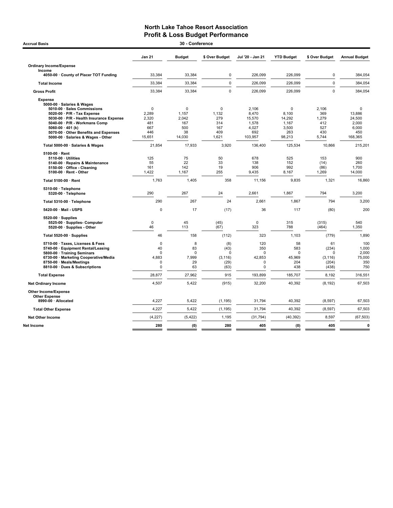## North Lake Tahoe Resort Association **Profit & Loss Budget Performance**<br>30 - Conference

| 30 - Conference<br><b>Accrual Basis</b>                                                                                                                                                                                                                                                         |                                                              |                                                   |                                                     |                                                                |                                                         |                                                       |                                                                     |  |  |  |
|-------------------------------------------------------------------------------------------------------------------------------------------------------------------------------------------------------------------------------------------------------------------------------------------------|--------------------------------------------------------------|---------------------------------------------------|-----------------------------------------------------|----------------------------------------------------------------|---------------------------------------------------------|-------------------------------------------------------|---------------------------------------------------------------------|--|--|--|
|                                                                                                                                                                                                                                                                                                 | <b>Jan 21</b>                                                | <b>Budget</b>                                     | \$ Over Budget                                      | Jul '20 - Jan 21                                               | <b>YTD Budget</b>                                       | \$ Over Budget                                        | <b>Annual Budget</b>                                                |  |  |  |
| <b>Ordinary Income/Expense</b><br>Income                                                                                                                                                                                                                                                        |                                                              |                                                   |                                                     |                                                                |                                                         |                                                       |                                                                     |  |  |  |
| 4050-00 County of Placer TOT Funding                                                                                                                                                                                                                                                            | 33,384                                                       | 33,384                                            | 0                                                   | 226,099                                                        | 226,099                                                 | $\mathbf 0$                                           | 384,054                                                             |  |  |  |
| <b>Total Income</b>                                                                                                                                                                                                                                                                             | 33,384                                                       | 33,384                                            | 0                                                   | 226,099                                                        | 226,099                                                 | $\pmb{0}$                                             | 384,054                                                             |  |  |  |
| <b>Gross Profit</b>                                                                                                                                                                                                                                                                             | 33,384                                                       | 33,384                                            | $\mathbf 0$                                         | 226.099                                                        | 226.099                                                 | $\mathbf 0$                                           | 384,054                                                             |  |  |  |
| <b>Expense</b><br>5000-00 · Salaries & Wages<br>5010-00 · Sales Commissions<br>5020-00 · P/R - Tax Expense<br>5030-00 · P/R - Health Insurance Expense<br>5040-00 · P/R - Workmans Comp<br>$5060-00 \cdot 401$ (k)<br>5070-00 Other Benefits and Expenses<br>5000-00 · Salaries & Wages - Other | $\mathbf 0$<br>2,289<br>2,320<br>481<br>667<br>446<br>15,651 | 0<br>1,157<br>2,042<br>167<br>500<br>38<br>14,030 | 0<br>1,132<br>279<br>314<br>167<br>409<br>1,621     | 2,106<br>8,470<br>15,570<br>1,578<br>4.027<br>692<br>103,957   | 0<br>8,100<br>14,292<br>1,167<br>3.500<br>263<br>98,213 | 2,106<br>369<br>1,279<br>412<br>527<br>430<br>5,744   | $\mathbf 0$<br>13,886<br>24,500<br>2,000<br>6.000<br>450<br>168,365 |  |  |  |
| Total 5000-00 · Salaries & Wages                                                                                                                                                                                                                                                                | 21,854                                                       | 17,933                                            | 3,920                                               | 136,400                                                        | 125,534                                                 | 10,866                                                | 215,201                                                             |  |  |  |
| $5100-00 \cdot$ Rent<br>$5110-00 \cdot$ Utilities<br>5140-00 · Repairs & Maintenance<br>5150-00 Office - Cleaning<br>$5100-00 \cdot$ Rent - Other                                                                                                                                               | 125<br>55<br>161<br>1,422                                    | 75<br>22<br>142<br>1,167                          | 50<br>33<br>19<br>255                               | 678<br>138<br>906<br>9,435                                     | 525<br>152<br>992<br>8.167                              | 153<br>(14)<br>(86)<br>1,269                          | 900<br>260<br>1,700<br>14,000                                       |  |  |  |
| Total 5100-00 · Rent                                                                                                                                                                                                                                                                            | 1,763                                                        | 1,405                                             | 358                                                 | 11,156                                                         | 9,835                                                   | 1,321                                                 | 16,860                                                              |  |  |  |
| 5310-00 · Telephone<br>5320-00 · Telephone                                                                                                                                                                                                                                                      | 290                                                          | 267                                               | 24                                                  | 2,661                                                          | 1,867                                                   | 794                                                   | 3,200                                                               |  |  |  |
| Total 5310-00 · Telephone                                                                                                                                                                                                                                                                       | 290                                                          | 267                                               | 24                                                  | 2,661                                                          | 1,867                                                   | 794                                                   | 3,200                                                               |  |  |  |
| 5420-00 Mail USPS                                                                                                                                                                                                                                                                               | 0                                                            | 17                                                | (17)                                                | 36                                                             | 117                                                     | (80)                                                  | 200                                                                 |  |  |  |
| $5520-00 \cdot$ Supplies<br>5525-00 · Supplies- Computer<br>5520-00 · Supplies - Other                                                                                                                                                                                                          | $\pmb{0}$<br>46                                              | 45<br>113                                         | (45)<br>(67)                                        | $\mathbf 0$<br>323                                             | 315<br>788                                              | (315)<br>(464)                                        | 540<br>1,350                                                        |  |  |  |
| Total 5520-00 · Supplies                                                                                                                                                                                                                                                                        | 46                                                           | 158                                               | (112)                                               | 323                                                            | 1,103                                                   | (779)                                                 | 1,890                                                               |  |  |  |
| 5710-00 · Taxes, Licenses & Fees<br>5740-00 · Equipment Rental/Leasing<br>5800-00 · Training Seminars<br>6730-00 · Marketing Cooperative/Media<br>8750-00 · Meals/Meetings<br>8810-00 · Dues & Subscriptions                                                                                    | $\mathbf 0$<br>40<br>$\Omega$<br>4.883<br>0<br>0             | 8<br>83<br>$\Omega$<br>7.999<br>29<br>63          | (8)<br>(43)<br>$\Omega$<br>(3, 116)<br>(29)<br>(63) | 120<br>350<br>$\Omega$<br>42,853<br>$\mathbf 0$<br>$\mathbf 0$ | 58<br>583<br>0<br>45.969<br>204<br>438                  | 61<br>(234)<br>$\Omega$<br>(3, 116)<br>(204)<br>(438) | 100<br>1,000<br>2,000<br>75,000<br>350<br>750                       |  |  |  |
| <b>Total Expense</b>                                                                                                                                                                                                                                                                            | 28,877                                                       | 27,962                                            | 915                                                 | 193,899                                                        | 185,707                                                 | 8,192                                                 | 316,551                                                             |  |  |  |
| <b>Net Ordinary Income</b>                                                                                                                                                                                                                                                                      | 4,507                                                        | 5,422                                             | (915)                                               | 32,200                                                         | 40,392                                                  | (8, 192)                                              | 67,503                                                              |  |  |  |
| Other Income/Expense<br><b>Other Expense</b><br>8990-00 · Allocated                                                                                                                                                                                                                             | 4,227                                                        | 5,422                                             | (1, 195)                                            | 31,794                                                         | 40,392                                                  | (8, 597)                                              | 67,503                                                              |  |  |  |
|                                                                                                                                                                                                                                                                                                 |                                                              |                                                   |                                                     |                                                                |                                                         |                                                       |                                                                     |  |  |  |
| <b>Total Other Expense</b>                                                                                                                                                                                                                                                                      | 4,227                                                        | 5,422                                             | (1, 195)                                            | 31,794                                                         | 40,392                                                  | (8, 597)                                              | 67,503                                                              |  |  |  |
| <b>Net Other Income</b>                                                                                                                                                                                                                                                                         | (4, 227)                                                     | (5, 422)                                          | 1,195                                               | (31, 794)                                                      | (40, 392)                                               | 8,597                                                 | (67, 503)                                                           |  |  |  |
| Net Income                                                                                                                                                                                                                                                                                      | 280                                                          | (0)                                               | 280                                                 | 405                                                            | (0)                                                     | 405                                                   | $\mathbf{0}$                                                        |  |  |  |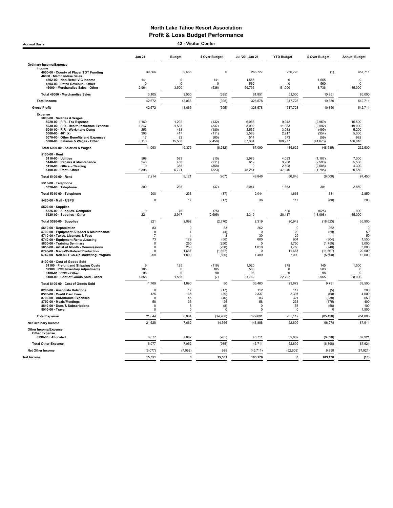Accrual Basis 42 - Visitor Center

|                                                                                                                                                                                                                                                                                                               | <b>Jan 21</b>                                                                           | <b>Budget</b>                                                                | \$ Over Budget                                               | Jul '20 - Jan 21                                                       | <b>YTD Budget</b>                                         | \$ Over Budget                                                   | <b>Annual Budget</b>                                                 |
|---------------------------------------------------------------------------------------------------------------------------------------------------------------------------------------------------------------------------------------------------------------------------------------------------------------|-----------------------------------------------------------------------------------------|------------------------------------------------------------------------------|--------------------------------------------------------------|------------------------------------------------------------------------|-----------------------------------------------------------|------------------------------------------------------------------|----------------------------------------------------------------------|
| <b>Ordinary Income/Expense</b>                                                                                                                                                                                                                                                                                |                                                                                         |                                                                              |                                                              |                                                                        |                                                           |                                                                  |                                                                      |
| Income<br>4050-00 · County of Placer TOT Funding                                                                                                                                                                                                                                                              | 39,566                                                                                  | 39,566                                                                       | $\mathbf 0$                                                  | 266,727                                                                | 266,728                                                   | (1)                                                              | 457,711                                                              |
| 46000 · Merchandise Sales                                                                                                                                                                                                                                                                                     |                                                                                         |                                                                              |                                                              |                                                                        |                                                           |                                                                  |                                                                      |
| 4502-00 · Non-Retail VIC income<br>4504-00 · Retail Revenue - Other                                                                                                                                                                                                                                           | 141<br>$\Omega$                                                                         | 0<br>$\Omega$                                                                | 141<br>$\Omega$                                              | 1,555<br>560                                                           | 0<br>$\Omega$                                             | 1,555<br>560                                                     | 0<br>$\Omega$                                                        |
| 46000 · Merchandise Sales - Other                                                                                                                                                                                                                                                                             | 2.964                                                                                   | 3.500                                                                        | (536)                                                        | 59,736                                                                 | 51.000                                                    | 8.736                                                            | 85,000                                                               |
| Total 46000 · Merchandise Sales                                                                                                                                                                                                                                                                               | 3,105                                                                                   | 3,500                                                                        | (395)                                                        | 61,851                                                                 | 51,000                                                    | 10,851                                                           | 85,000                                                               |
| <b>Total Income</b>                                                                                                                                                                                                                                                                                           | 42,672                                                                                  | 43,066                                                                       | (395)                                                        | 328,578                                                                | 317,728                                                   | 10,850                                                           | 542,711                                                              |
| <b>Gross Profit</b>                                                                                                                                                                                                                                                                                           | 42,672                                                                                  | 43,066                                                                       | (395)                                                        | 328,578                                                                | 317,728                                                   | 10,850                                                           | 542,711                                                              |
| <b>Expense</b><br>5000-00 · Salaries & Wages<br>5020-00 · P/R - Tax Expense<br>5030-00 · P/R - Health Insurance Expense                                                                                                                                                                                       | 1,160<br>1,247                                                                          | 1,292<br>1,583                                                               | (132)<br>(337)                                               | 6,083<br>8,092                                                         | 9,042<br>11,083                                           | (2,959)<br>(2,992)                                               | 15,500<br>19,000                                                     |
| 5040-00 · P/R - Workmans Comp                                                                                                                                                                                                                                                                                 | 253                                                                                     | 433                                                                          | (180)                                                        | 2,535                                                                  | 3,033                                                     | (499)                                                            | 5,200                                                                |
| 5060-00 $\cdot$ 401 (k)<br>5070-00 Other Benefits and Expenses                                                                                                                                                                                                                                                | 306<br>17                                                                               | 417<br>82                                                                    | (111)<br>(65)                                                | 2.563<br>514                                                           | 2.917<br>573                                              | (354)<br>(59)                                                    | 5.000<br>982                                                         |
| 5000-00 · Salaries & Wages - Other                                                                                                                                                                                                                                                                            | 8,110                                                                                   | 15,568                                                                       | (7, 458)                                                     | 67,304                                                                 | 108,977                                                   | (41, 673)                                                        | 186,818                                                              |
| Total 5000-00 · Salaries & Wages                                                                                                                                                                                                                                                                              | 11,093                                                                                  | 19,375                                                                       | (8, 282)                                                     | 87,090                                                                 | 135,625                                                   | (48, 535)                                                        | 232,500                                                              |
| 5100-00 · Rent<br>5110-00 · Utilities<br>5140-00 · Repairs & Maintenance                                                                                                                                                                                                                                      | 568<br>248                                                                              | 583<br>458                                                                   | (15)<br>(211)                                                | 2,976<br>619                                                           | 4,083<br>3,208                                            | (1, 107)<br>(2,590)                                              | 7,000<br>5,500                                                       |
| 5150-00 · Office - Cleaning<br>5100-00 · Rent - Other                                                                                                                                                                                                                                                         | n<br>6,398                                                                              | 358<br>6,721                                                                 | (358)<br>(323)                                               | $\Omega$<br>45,251                                                     | 2.508<br>47,046                                           | (2,508)<br>(1,795)                                               | 4,300<br>80,650                                                      |
| Total 5100-00 · Rent                                                                                                                                                                                                                                                                                          | 7,214                                                                                   | 8,121                                                                        | (907)                                                        | 48,846                                                                 | 56,846                                                    | (8,000)                                                          | 97,450                                                               |
| 5310-00 · Telephone<br>5320-00 · Telephone                                                                                                                                                                                                                                                                    | 200                                                                                     | 238                                                                          | (37)                                                         | 2,044                                                                  | 1,663                                                     | 381                                                              | 2,850                                                                |
| Total 5310-00 · Telephone                                                                                                                                                                                                                                                                                     | 200                                                                                     | 238                                                                          | (37)                                                         | 2,044                                                                  | 1,663                                                     | 381                                                              | 2,850                                                                |
| 5420-00 Mail - USPS                                                                                                                                                                                                                                                                                           | $\pmb{0}$                                                                               | 17                                                                           | (17)                                                         | 36                                                                     | 117                                                       | (80)                                                             | 200                                                                  |
| 5520-00 · Supplies<br>5525-00 · Supplies- Computer<br>5520-00 · Supplies - Other                                                                                                                                                                                                                              | $\mathbf 0$<br>221                                                                      | 75<br>2,917                                                                  | (75)<br>(2,695)                                              | $\Omega$<br>2,319                                                      | 525<br>20,417                                             | (525)<br>(18,098)                                                | 900<br>35,000                                                        |
| Total 5520-00 · Supplies                                                                                                                                                                                                                                                                                      | 221                                                                                     | 2,992                                                                        | (2,770)                                                      | 2,319                                                                  | 20,942                                                    | (18, 623)                                                        | 35,900                                                               |
| 5610-00 · Depreciation<br>5700-00 · Equipment Support & Maintenance<br>5710-00 · Taxes, Licenses & Fees<br>5740-00 · Equipment Rental/Leasing<br>5800-00 · Training Seminars<br>5850-00 · Artist of Month - Commissions<br>6740-00 · Media/Collateral/Production<br>6742-00 · Non-NLT Co-Op Marketing Program | 83<br>$\mathbf 0$<br>$\overline{7}$<br>73<br>$\Omega$<br>$\mathbf 0$<br>$\Omega$<br>200 | 0<br>$\overline{4}$<br>$\overline{a}$<br>129<br>250<br>250<br>1,667<br>1,000 | 83<br>(4)<br>3<br>(56)<br>(250)<br>(250)<br>(1,667)<br>(800) | 262<br>$\Omega$<br>30<br>600<br>$\Omega$<br>1,010<br>$\Omega$<br>1,400 | 0<br>29<br>29<br>904<br>1,750<br>1.750<br>11,667<br>7,000 | 262<br>(29)<br>(304)<br>(1,750)<br>(740)<br>(11, 667)<br>(5,600) | $\pmb{0}$<br>50<br>50<br>1,550<br>3,000<br>3.000<br>20,000<br>12,000 |
| 8100-00 · Cost of Goods Sold<br>51100 · Freight and Shipping Costs<br>59900 · POS Inventory Adjustments<br>8100-01 · CGS - Other<br>8100-00 · Cost of Goods Sold - Other                                                                                                                                      | 9<br>105<br>98<br>1,558                                                                 | 125<br>$\mathbf 0$<br>$\mathbf 0$<br>1,565                                   | (116)<br>105<br>98<br>(7)                                    | 1,020<br>583<br>98<br>31,762                                           | 875<br>$\Omega$<br>$\Omega$<br>22,797                     | 145<br>583<br>98<br>8,965                                        | 1,500<br>$\pmb{0}$<br>$\Omega$<br>38,000                             |
| Total 8100-00 · Cost of Goods Sold                                                                                                                                                                                                                                                                            | 1,769                                                                                   | 1,690                                                                        | 80                                                           | 33,463                                                                 | 23,672                                                    | 9,791                                                            | 39,500                                                               |
| 8200-00 · Associate Relations<br>8500-00 · Credit Card Fees<br>8700-00 · Automobile Expenses<br>8750-00 · Meals/Meetings<br>8810-00 · Dues & Subscriptions<br>8910-00 · Travel                                                                                                                                | $\Omega$<br>125<br>$\Omega$<br>58<br>$\mathbf 0$<br>$\mathbf 0$                         | 17<br>165<br>46<br>33<br>8<br>$\Omega$                                       | (17)<br>(39)<br>(46)<br>25<br>(8)<br>$\Omega$                | 112<br>2,337<br>83<br>58<br>$\mathbf 0$<br>$\Omega$                    | 117<br>2,397<br>321<br>233<br>58<br>$\mathbf 0$           | (5)<br>(60)<br>(238)<br>(175)<br>(58)<br>$\Omega$                | 200<br>4,000<br>550<br>400<br>100<br>1,500                           |
| <b>Total Expense</b>                                                                                                                                                                                                                                                                                          | 21,044                                                                                  | 36,004                                                                       | (14,960)                                                     | 179,691                                                                | 265,119                                                   | (85, 428)                                                        | 454,800                                                              |
| <b>Net Ordinary Income</b>                                                                                                                                                                                                                                                                                    | 21,628                                                                                  | 7,062                                                                        | 14,566                                                       | 148,888                                                                | 52,609                                                    | 96,278                                                           | 87,911                                                               |
| <b>Other Income/Expense</b><br><b>Other Expense</b><br>8990-00 · Allocated                                                                                                                                                                                                                                    | 6,077                                                                                   | 7,062                                                                        | (985)                                                        | 45,711                                                                 | 52,609                                                    | (6,898)                                                          | 87,921                                                               |
|                                                                                                                                                                                                                                                                                                               | 6,077                                                                                   | 7,062                                                                        | (985)                                                        |                                                                        | 52,609                                                    | (6,898)                                                          | 87,921                                                               |
| <b>Total Other Expense</b>                                                                                                                                                                                                                                                                                    |                                                                                         |                                                                              |                                                              | 45,711                                                                 |                                                           |                                                                  |                                                                      |
| <b>Net Other Income</b>                                                                                                                                                                                                                                                                                       | (6,077)                                                                                 | (7,062)                                                                      | 985                                                          | (45, 711)                                                              | (52, 609)                                                 | 6,898                                                            | (87, 921)                                                            |
| Net Income                                                                                                                                                                                                                                                                                                    | 15,551                                                                                  | $\mathbf 0$                                                                  | 15,551                                                       | 103,176                                                                | $\mathbf{0}$                                              | 103,176                                                          | (10)                                                                 |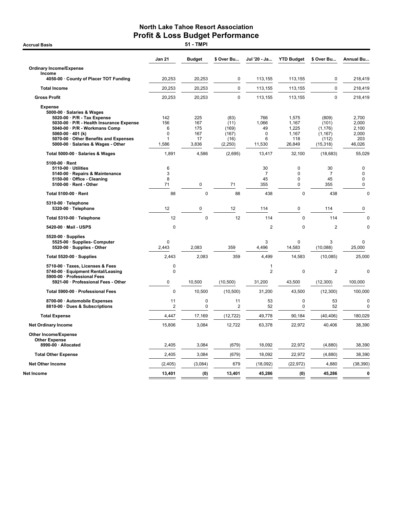**Accrual Basis** 

|                                                                                                                                                                                                                                                                  | Jan 21                             | <b>Budget</b>                           | \$ Over Bu                                        | Jul '20 - Ja                                     | <b>YTD Budget</b>                                     | \$ Over Bu                                                   | Annual Bu                                         |
|------------------------------------------------------------------------------------------------------------------------------------------------------------------------------------------------------------------------------------------------------------------|------------------------------------|-----------------------------------------|---------------------------------------------------|--------------------------------------------------|-------------------------------------------------------|--------------------------------------------------------------|---------------------------------------------------|
| <b>Ordinary Income/Expense</b>                                                                                                                                                                                                                                   |                                    |                                         |                                                   |                                                  |                                                       |                                                              |                                                   |
| Income<br>4050-00 · County of Placer TOT Funding                                                                                                                                                                                                                 | 20,253                             | 20,253                                  | $\mathbf 0$                                       | 113,155                                          | 113,155                                               | 0                                                            | 218,419                                           |
| <b>Total Income</b>                                                                                                                                                                                                                                              | 20,253                             | 20,253                                  | $\mathbf 0$                                       | 113,155                                          | 113,155                                               | $\mathbf 0$                                                  | 218,419                                           |
| <b>Gross Profit</b>                                                                                                                                                                                                                                              | 20,253                             | 20,253                                  | 0                                                 | 113,155                                          | 113,155                                               | 0                                                            | 218,419                                           |
|                                                                                                                                                                                                                                                                  |                                    |                                         |                                                   |                                                  |                                                       |                                                              |                                                   |
| <b>Expense</b><br>5000-00 · Salaries & Wages<br>5020-00 · P/R - Tax Expense<br>5030-00 · P/R - Health Insurance Expense<br>5040-00 · P/R - Workmans Comp<br>$5060-00 \cdot 401$ (k)<br>5070-00 Other Benefits and Expenses<br>5000-00 · Salaries & Wages - Other | 142<br>156<br>6<br>0<br>1<br>1,586 | 225<br>167<br>175<br>167<br>17<br>3,836 | (83)<br>(11)<br>(169)<br>(167)<br>(16)<br>(2,250) | 766<br>1,066<br>49<br>$\mathbf 0$<br>6<br>11,530 | 1,575<br>1,167<br>1,225<br>1,167<br>118<br>26,849     | (809)<br>(101)<br>(1, 176)<br>(1, 167)<br>(112)<br>(15, 318) | 2,700<br>2,000<br>2,100<br>2,000<br>203<br>46,026 |
| Total 5000-00 · Salaries & Wages                                                                                                                                                                                                                                 | 1,891                              | 4,586                                   | (2,695)                                           | 13,417                                           | 32,100                                                | (18, 683)                                                    | 55,029                                            |
| $5100-00 \cdot$ Rent<br>5110-00 · Utilities<br>5140-00 · Repairs & Maintenance<br>5150-00 · Office - Cleaning<br>5100-00 · Rent - Other                                                                                                                          | 6<br>3<br>8<br>71                  | 0                                       | 71                                                | 30<br>$\overline{7}$<br>45<br>355                | $\mathbf 0$<br>$\mathbf 0$<br>$\mathbf 0$<br>$\Omega$ | 30<br>$\overline{7}$<br>45<br>355                            | 0<br>$\mathbf 0$<br>$\mathbf 0$<br>$\pmb{0}$      |
| Total 5100-00 · Rent                                                                                                                                                                                                                                             | 88                                 | $\mathbf 0$                             | 88                                                | 438                                              | $\mathbf 0$                                           | 438                                                          | $\Omega$                                          |
| 5310-00 · Telephone<br>5320-00 · Telephone                                                                                                                                                                                                                       | 12                                 | 0                                       | 12                                                | 114                                              | $\mathbf 0$                                           | 114                                                          | 0                                                 |
| Total 5310-00 · Telephone                                                                                                                                                                                                                                        | 12                                 | $\mathbf 0$                             | 12                                                | 114                                              | $\mathbf 0$                                           | 114                                                          | $\mathbf 0$                                       |
| 5420-00 · Mail - USPS                                                                                                                                                                                                                                            | $\mathbf 0$                        |                                         |                                                   | $\overline{2}$                                   | $\mathbf 0$                                           | $\overline{2}$                                               | $\mathbf 0$                                       |
| $5520-00 \cdot$ Supplies<br>5525-00 · Supplies- Computer<br>5520-00 · Supplies - Other                                                                                                                                                                           | $\Omega$<br>2,443                  | 2,083                                   | 359                                               | 3<br>4,496                                       | $\Omega$<br>14,583                                    | 3<br>(10,088)                                                | 0<br>25,000                                       |
| Total 5520-00 · Supplies                                                                                                                                                                                                                                         | 2,443                              | 2,083                                   | 359                                               | 4,499                                            | 14,583                                                | (10,085)                                                     | 25,000                                            |
| 5710-00 · Taxes, Licenses & Fees<br>5740-00 · Equipment Rental/Leasing<br>5900-00 · Professional Fees                                                                                                                                                            | 0<br>$\mathbf 0$                   |                                         |                                                   | 1<br>$\overline{2}$                              | $\mathbf 0$                                           | $\overline{2}$                                               | $\mathbf 0$                                       |
| 5921-00 · Professional Fees - Other                                                                                                                                                                                                                              | 0                                  | 10,500                                  | (10, 500)                                         | 31,200                                           | 43,500                                                | (12,300)                                                     | 100,000                                           |
| Total 5900-00 · Professional Fees                                                                                                                                                                                                                                | $\overline{0}$                     | 10.500                                  | (10, 500)                                         | 31,200                                           | 43,500                                                | (12,300)                                                     | 100,000                                           |
| 8700-00 · Automobile Expenses<br>8810-00 · Dues & Subscriptions                                                                                                                                                                                                  | 11<br>$\overline{2}$               | $\mathbf 0$<br>0                        | 11<br>2                                           | 53<br>52                                         | $\mathbf 0$<br>$\mathbf 0$                            | 53<br>52                                                     | $\mathbf 0$<br>$\mathbf 0$                        |
| <b>Total Expense</b>                                                                                                                                                                                                                                             | 4,447                              | 17,169                                  | (12, 722)                                         | 49,778                                           | 90,184                                                | (40, 406)                                                    | 180,029                                           |
| <b>Net Ordinary Income</b>                                                                                                                                                                                                                                       | 15,806                             | 3,084                                   | 12,722                                            | 63,378                                           | 22,972                                                | 40,406                                                       | 38,390                                            |
| <b>Other Income/Expense</b><br><b>Other Expense</b>                                                                                                                                                                                                              |                                    |                                         |                                                   |                                                  |                                                       |                                                              |                                                   |
| 8990-00 · Allocated                                                                                                                                                                                                                                              | 2,405                              | 3,084                                   | (679)                                             | 18,092                                           | 22,972                                                | (4,880)                                                      | 38,390                                            |
| <b>Total Other Expense</b>                                                                                                                                                                                                                                       | 2,405                              | 3,084                                   | (679)                                             | 18,092                                           | 22,972                                                | (4,880)                                                      | 38,390                                            |
| <b>Net Other Income</b>                                                                                                                                                                                                                                          | (2,405)                            | (3,084)                                 | 679                                               | (18,092)                                         | (22, 972)                                             | 4,880                                                        | (38, 390)                                         |
| Net Income                                                                                                                                                                                                                                                       | 13,401                             | (0)                                     | 13,401                                            | 45,286                                           | (0)                                                   | 45,286                                                       | 0                                                 |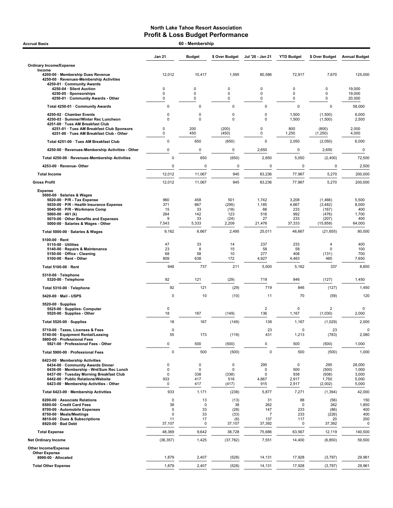| <b>Accrual Basis</b>                                                                                                      |                       | 60 - Membership   |                          |                       |                       |                           |                         |
|---------------------------------------------------------------------------------------------------------------------------|-----------------------|-------------------|--------------------------|-----------------------|-----------------------|---------------------------|-------------------------|
|                                                                                                                           | <b>Jan 21</b>         | <b>Budget</b>     | \$ Over Budget           | Jul '20 - Jan 21      | <b>YTD Budget</b>     | \$ Over Budget            | <b>Annual Budget</b>    |
| <b>Ordinary Income/Expense</b>                                                                                            |                       |                   |                          |                       |                       |                           |                         |
| Income<br>4200-00 · Membership Dues Revenue<br>4250-00 · Revenues-Membership Activities<br>4250-01 · Community Awards     | 12,012                | 10,417            | 1,595                    | 80,586                | 72,917                | 7,670                     | 125,000                 |
| 4250-04 · Silent Auction<br>4250-05 · Sponsorships                                                                        | 0<br>0                | 0<br>0            | $\mathbf 0$<br>$\pmb{0}$ | 0<br>0                | 0<br>0                | 0<br>0                    | 19,000<br>19,000        |
| 4250-01 Community Awards - Other                                                                                          | 0                     | 0                 | $\mathbf 0$              | 0                     | 0                     | 0                         | 20,000                  |
| Total 4250-01 · Community Awards                                                                                          | $\mathbf 0$           | 0                 | $\overline{0}$           | $\pmb{0}$             | $\mathbf 0$           | $\mathbf 0$               | 58,000                  |
| 4250-02 · Chamber Events<br>4250-03 · Summer/Winter Rec Luncheon<br>4251-00 · Tues AM Breakfast Club                      | 0<br>$\mathbf 0$      | 0<br>0            | $\mathbf 0$<br>$\Omega$  | 0<br>0                | 1,500<br>1,500        | (1,500)<br>(1,500)        | 6,000<br>2,500          |
| 4251-01 · Tues AM Breakfast Club Sponsors<br>4251-00 · Tues AM Breakfast Club - Other                                     | 0<br>0                | 200<br>450        | (200)<br>(450)           | 0<br>0                | 800<br>1,250          | (800)<br>(1,250)          | 2,000<br>4,000          |
| Total 4251-00 · Tues AM Breakfast Club                                                                                    | $\pmb{0}$             | 650               | (650)                    | 0                     | 2,050                 | (2,050)                   | 6,000                   |
| 4250-00 · Revenues-Membership Activities - Other                                                                          | 0                     | 0                 | 0                        | 2,650                 | $\pmb{0}$             | 2,650                     | 0                       |
| Total 4250-00 · Revenues-Membership Activities                                                                            | $\mathbf 0$           | 650               | (650)                    | 2,650                 | 5,050                 | (2,400)                   | 72,500                  |
| 4253-00 · Revenue-Other                                                                                                   | 0                     | $\mathbf 0$       | 0                        | 0                     | 0                     | 0                         | 2,500                   |
| <b>Total Income</b>                                                                                                       | 12,012                | 11,067            | 945                      | 83,236                | 77,967                | 5,270                     | 200,000                 |
| <b>Gross Profit</b>                                                                                                       | 12,012                | 11,067            | 945                      | 83,236                | 77,967                | 5,270                     | 200,000                 |
| <b>Expense</b><br>5000-00 · Salaries & Wages<br>5020-00 · P/R - Tax Expense                                               | 960                   | 458               | 501                      | 1,742                 | 3,208                 | (1,466)                   | 5,500                   |
| 5030-00 · P/R - Health Insurance Expense<br>5040-00 · P/R - Workmans Comp                                                 | 371<br>15             | 667<br>33         | (295)<br>(18)            | 1,185<br>66           | 4,667<br>233          | (3, 482)<br>(167)         | 8,000<br>400            |
| 5060-00 $\cdot$ 401 (k)                                                                                                   | 264                   | 142               | 123                      | 516                   | 992                   | (476)                     | 1,700                   |
| 5070-00 Other Benefits and Expenses<br>5000-00 · Salaries & Wages - Other                                                 | 9<br>7,543            | 33<br>5,333       | (24)<br>2,209            | 27<br>21,476          | 233<br>37,333         | (207)<br>(15, 858)        | 400<br>64,000           |
| Total 5000-00 · Salaries & Wages                                                                                          | 9,162                 | 6,667             | 2,495                    | 25,011                | 46,667                | (21, 655)                 | 80,000                  |
| $5100-00 \cdot$ Rent                                                                                                      |                       |                   |                          |                       |                       |                           |                         |
| $5110-00 \cdot$ Utilities<br>5140-00 · Repairs & Maintenance                                                              | 47<br>23              | 33<br>8           | 14<br>15                 | 237<br>58             | 233<br>58             | 4<br>$\mathbf 0$          | 400<br>100              |
| 5150-00 · Office - Cleaning<br>5100-00 · Rent - Other                                                                     | 68<br>809             | 58<br>638         | 10<br>172                | 277<br>4,927          | 408<br>4,463          | (131)<br>465              | 700<br>7,650            |
| Total 5100-00 · Rent                                                                                                      | 948                   | 737               | 211                      | 5,500                 | 5,162                 | 337                       | 8,850                   |
| 5310-00 · Telephone<br>5320-00 · Telephone                                                                                | 92                    | 121               | (29)                     | 719                   | 846                   | (127)                     | 1,450                   |
| Total 5310-00 · Telephone                                                                                                 | 92                    | 121               | (29)                     | 719                   | 846                   | (127)                     | 1,450                   |
| 5420-00 · Mail - USPS                                                                                                     | 0                     | 10                | (10)                     | 11                    | 70                    | (59)                      | 120                     |
| $5520-00 \cdot$ Supplies<br>5525-00 · Supplies- Computer                                                                  | $\pmb{0}$             |                   |                          | $\overline{2}$        | 0                     | $\overline{2}$            | 0                       |
| 5520-00 · Supplies - Other                                                                                                | 18                    | 167               | (149)                    | 136                   | 1,167                 | (1,030)                   | 2,000                   |
| Total 5520-00 · Supplies                                                                                                  | 18                    | 167               | (149)                    | 138                   | 1,167                 | (1,029)                   | 2,000                   |
| 5710-00 · Taxes, Licenses & Fees<br>5740-00 · Equipment Rental/Leasing<br>5900-00 · Professional Fees                     | $\pmb{0}$<br>55       | 173               | (119)                    | 23<br>431             | 0<br>1,213            | 23<br>(783)               | 0<br>2,080              |
| 5921-00 · Professional Fees - Other                                                                                       | 0                     | 500               | (500)                    | 0                     | 500                   | (500)                     | 1,000                   |
| Total 5900-00 · Professional Fees                                                                                         | $\pmb{0}$             | 500               | (500)                    | $\mathbf 0$           | 500                   | (500)                     | 1,000                   |
| 6423-00 · Membership Activities<br>6434-00 Community Awards Dinner                                                        | 0                     | 0                 | 0                        | 295                   | 0                     | 295                       | 28,000                  |
| 6436-00 · Membership - Wnt/Sum Rec Lunch                                                                                  | $\pmb{0}$             | 0                 | 0                        | 0                     | 500                   | (500)                     | 1,000                   |
| 6437-00 · Tuesday Morning Breakfast Club<br>6442-00 · Public Relations/Website<br>6423-00 · Membership Activities - Other | $\pmb{0}$<br>933<br>0 | 338<br>417<br>417 | (338)<br>516<br>(417)    | 0<br>4,667<br>915     | 938<br>2,917<br>2,917 | (938)<br>1,750<br>(2,002) | 3,000<br>5,000<br>5,000 |
| Total 6423-00 · Membership Activities                                                                                     | 933                   | 1,171             | (238)                    | 5,877                 | 7,271                 | (1, 394)                  | 42,000                  |
| 8200-00 · Associate Relations                                                                                             | 0                     | 13                | (13)                     | 31                    | 88                    | (56)                      | 150                     |
| 8500-00 · Credit Card Fees                                                                                                | 38                    | $\mathbf 0$       | 38                       | 262                   | $\mathbf 0$           | 262                       | 1,850                   |
| 8700-00 · Automobile Expenses<br>8750-00 · Meals/Meetings                                                                 | 5<br>0                | 33<br>33          | (28)<br>(33)             | 147<br>$\overline{7}$ | 233<br>233            | (86)<br>(226)             | 400<br>400              |
| 8810-00 · Dues & Subscriptions<br>8920-00 · Bad Debt                                                                      | 11<br>37,107          | 17<br>$\mathbf 0$ | (6)<br>37,107            | 137<br>37,392         | 117<br>0              | 20<br>37,392              | 200<br>0                |
| <b>Total Expense</b>                                                                                                      | 48,369                | 9,642             | 38,728                   | 75,686                | 63,567                | 12,119                    | 140,500                 |
| <b>Net Ordinary Income</b>                                                                                                | (36, 357)             | 1,425             | (37, 782)                | 7,551                 | 14,400                | (6, 850)                  | 59,500                  |
| Other Income/Expense                                                                                                      |                       |                   |                          |                       |                       |                           |                         |
| <b>Other Expense</b><br>8990-00 · Allocated                                                                               | 1,879                 | 2,407             | (528)                    | 14,131                | 17,928                | (3,797)                   | 29,961                  |
| <b>Total Other Expense</b>                                                                                                | 1,879                 | 2,407             | (528)                    | 14,131                | 17,928                | (3,797)                   | 29,961                  |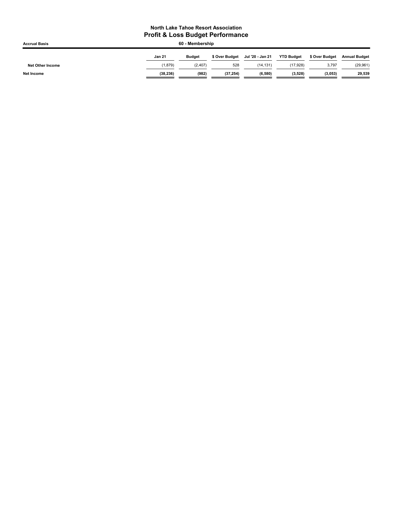| <b>Accrual Basis</b>    | 60 - Membership |               |                |                  |                   |                |                      |  |
|-------------------------|-----------------|---------------|----------------|------------------|-------------------|----------------|----------------------|--|
|                         | <b>Jan 21</b>   | <b>Budget</b> | \$ Over Budget | Jul '20 - Jan 21 | <b>YTD Budget</b> | \$ Over Budget | <b>Annual Budget</b> |  |
| <b>Net Other Income</b> | 1.879           | (2, 407)      | 528            | (14.131)         | (17.928)          | 3,797          | (29, 961)            |  |
| <b>Net Income</b>       | (38, 236)       | (982)         | (37, 254)      | (6,580)          | (3,528)           | (3,053)        | 29,539               |  |